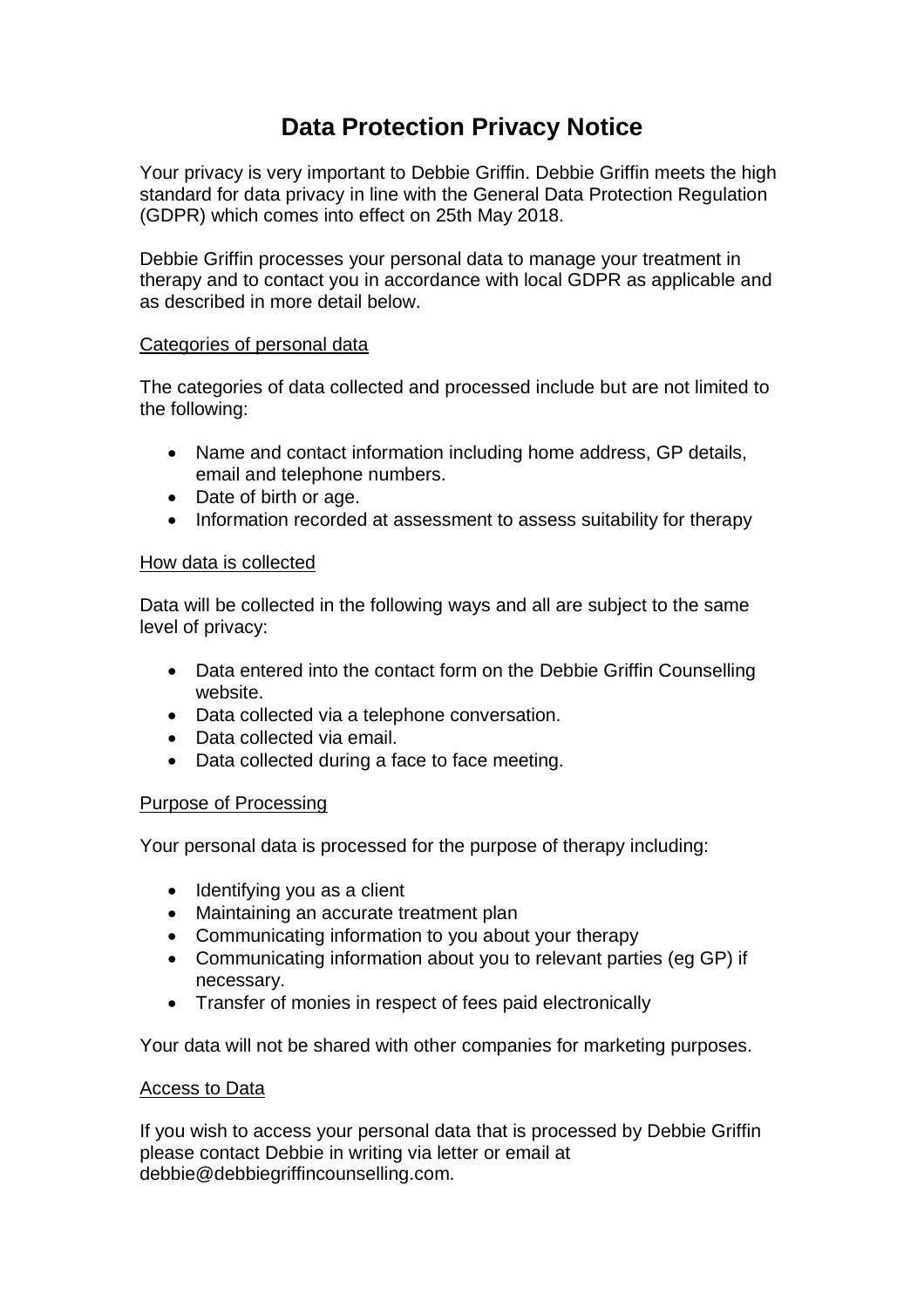# **Data Protection Privacy Notice**

Your privacy is very important to Debbie Griffin. Debbie Griffin meets the high standard for data privacy in line with the General Data Protection Regulation (GDPR) which comes into effect on 25th May 2018.

Debbie Griffin processes your personal data to manage your treatment in therapy and to contact you in accordance with local GDPR as applicable and as described in more detail below.

## Categories of personal data

The categories of data collected and processed include but are not limited to the following:

- Name and contact information including home address, GP details, email and telephone numbers.
- Date of birth or age.
- Information recorded at assessment to assess suitability for therapy

## How data is collected

Data will be collected in the following ways and all are subject to the same level of privacy:

- Data entered into the contact form on the Debbie Griffin Counselling website.
- Data collected via a telephone conversation.
- Data collected via email.
- Data collected during a face to face meeting.

## Purpose of Processing

Your personal data is processed for the purpose of therapy including:

- Identifying you as a client
- Maintaining an accurate treatment plan
- Communicating information to you about your therapy
- Communicating information about you to relevant parties (eg GP) if necessary.
- Transfer of monies in respect of fees paid electronically

Your data will not be shared with other companies for marketing purposes.

## Access to Data

If you wish to access your personal data that is processed by Debbie Griffin please contact Debbie in writing via letter or email at debbie@debbiegriffincounselling.com.